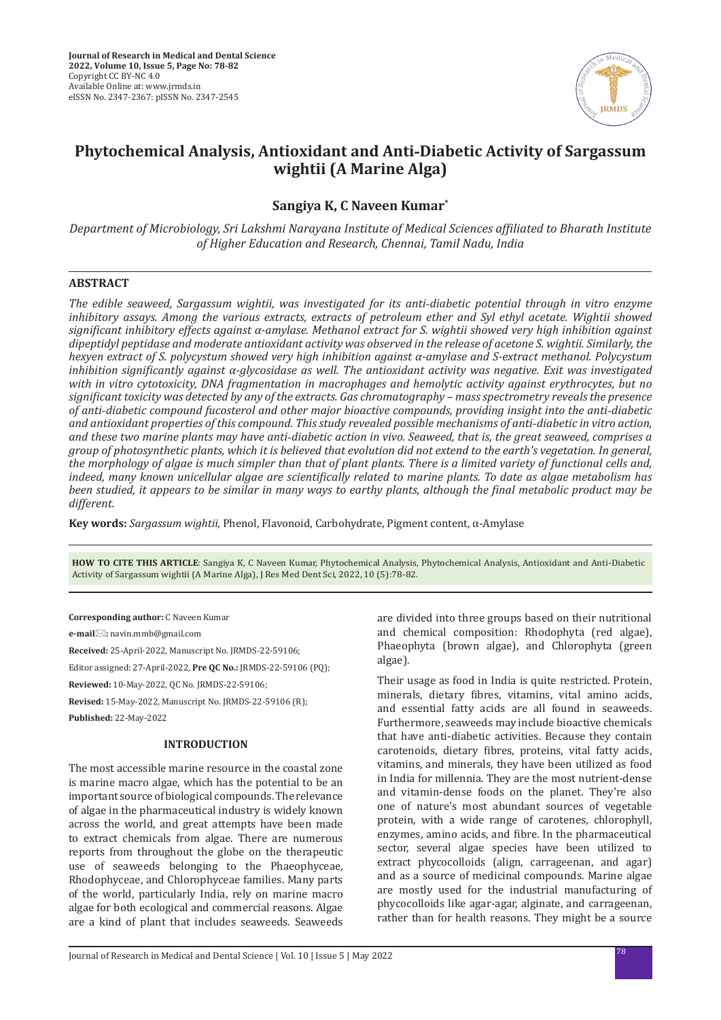

# **Phytochemical Analysis, Antioxidant and Anti-Diabetic Activity of Sargassum wightii (A Marine Alga)**

## **Sangiya K, C Naveen Kumar\***

*Department of Microbiology, Sri Lakshmi Narayana Institute of Medical Sciences affiliated to Bharath Institute of Higher Education and Research, Chennai, Tamil Nadu, India*

## **ABSTRACT**

*The edible seaweed, Sargassum wightii, was investigated for its anti-diabetic potential through in vitro enzyme inhibitory assays. Among the various extracts, extracts of petroleum ether and Syl ethyl acetate. Wightii showed significant inhibitory effects against α-amylase. Methanol extract for S. wightii showed very high inhibition against dipeptidyl peptidase and moderate antioxidant activity was observed in the release of acetone S. wightii. Similarly, the hexyen extract of S. polycystum showed very high inhibition against α-amylase and S-extract methanol. Polycystum inhibition significantly against α-glycosidase as well. The antioxidant activity was negative. Exit was investigated with in vitro cytotoxicity, DNA fragmentation in macrophages and hemolytic activity against erythrocytes, but no significant toxicity was detected by any of the extracts. Gas chromatography – mass spectrometry reveals the presence of anti-diabetic compound fucosterol and other major bioactive compounds, providing insight into the anti-diabetic and antioxidant properties of this compound. This study revealed possible mechanisms of anti-diabetic in vitro action, and these two marine plants may have anti-diabetic action in vivo. Seaweed, that is, the great seaweed, comprises a group of photosynthetic plants, which it is believed that evolution did not extend to the earth's vegetation. In general, the morphology of algae is much simpler than that of plant plants. There is a limited variety of functional cells and, indeed, many known unicellular algae are scientifically related to marine plants. To date as algae metabolism has been studied, it appears to be similar in many ways to earthy plants, although the final metabolic product may be different.*

**Key words:** *Sargassum wightii*, Phenol, Flavonoid, Carbohydrate, Pigment content, α-Amylase

**HOW TO CITE THIS ARTICLE**: Sangiya K, C Naveen Kumar, Phytochemical Analysis, Phytochemical Analysis, Antioxidant and Anti-Diabetic Activity of Sargassum wightii (A Marine Alga), J Res Med Dent Sci, 2022, 10 (5):78-82.

**Corresponding author:** C Naveen Kumar

**e-mail:** navin.mmb@gmail.com

**Received:** 25-April-2022, Manuscript No. JRMDS-22-59106;

Editor assigned: 27-April-2022, **Pre QC No.:** JRMDS-22-59106 (PQ);

**Reviewed:** 10-May-2022, QC No. JRMDS-22-59106;

**Revised:** 15-May-2022, Manuscript No. JRMDS-22-59106 (R); **Published:** 22-May-2022

## **INTRODUCTION**

The most accessible marine resource in the coastal zone is marine macro algae, which has the potential to be an important source of biological compounds. The relevance of algae in the pharmaceutical industry is widely known across the world, and great attempts have been made to extract chemicals from algae. There are numerous reports from throughout the globe on the therapeutic use of seaweeds belonging to the Phaeophyceae, Rhodophyceae, and Chlorophyceae families. Many parts of the world, particularly India, rely on marine macro algae for both ecological and commercial reasons. Algae are a kind of plant that includes seaweeds. Seaweeds are divided into three groups based on their nutritional and chemical composition: Rhodophyta (red algae), Phaeophyta (brown algae), and Chlorophyta (green algae).

Their usage as food in India is quite restricted. Protein, minerals, dietary fibres, vitamins, vital amino acids, and essential fatty acids are all found in seaweeds. Furthermore, seaweeds may include bioactive chemicals that have anti-diabetic activities. Because they contain carotenoids, dietary fibres, proteins, vital fatty acids, vitamins, and minerals, they have been utilized as food in India for millennia. They are the most nutrient-dense and vitamin-dense foods on the planet. They're also one of nature's most abundant sources of vegetable protein, with a wide range of carotenes, chlorophyll, enzymes, amino acids, and fibre. In the pharmaceutical sector, several algae species have been utilized to extract phycocolloids (align, carrageenan, and agar) and as a source of medicinal compounds. Marine algae are mostly used for the industrial manufacturing of phycocolloids like agar-agar, alginate, and carrageenan, rather than for health reasons. They might be a source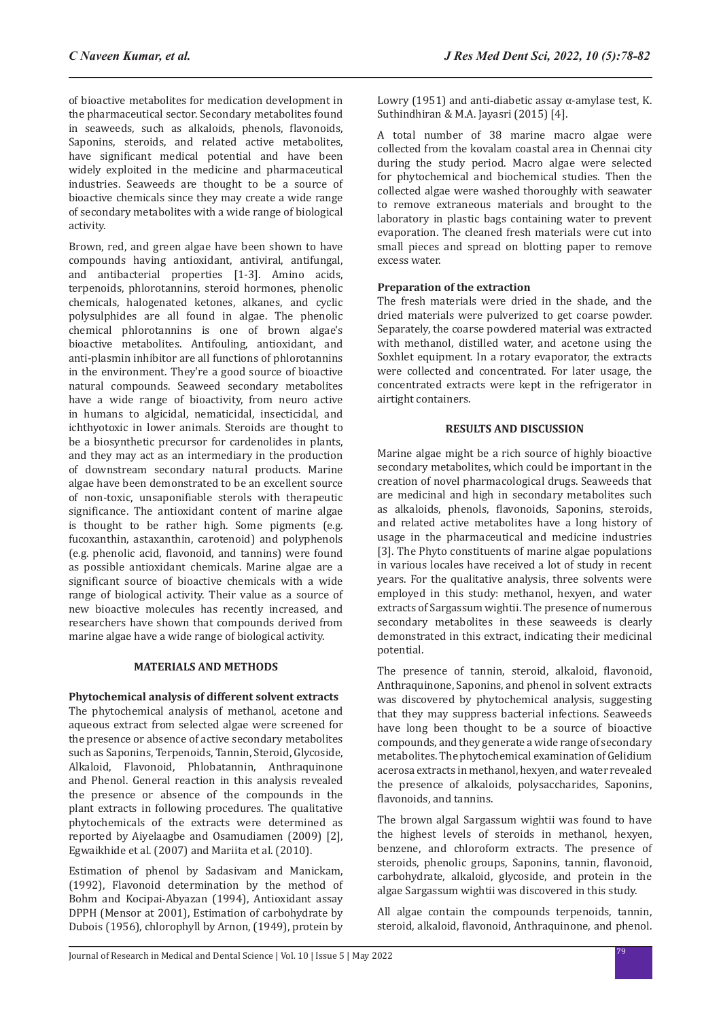of bioactive metabolites for medication development in the pharmaceutical sector. Secondary metabolites found in seaweeds, such as alkaloids, phenols, flavonoids, Saponins, steroids, and related active metabolites, have significant medical potential and have been widely exploited in the medicine and pharmaceutical industries. Seaweeds are thought to be a source of bioactive chemicals since they may create a wide range of secondary metabolites with a wide range of biological activity.

Brown, red, and green algae have been shown to have compounds having antioxidant, antiviral, antifungal, and antibacterial properties [1-3]. Amino acids, terpenoids, phlorotannins, steroid hormones, phenolic chemicals, halogenated ketones, alkanes, and cyclic polysulphides are all found in algae. The phenolic chemical phlorotannins is one of brown algae's bioactive metabolites. Antifouling, antioxidant, and anti-plasmin inhibitor are all functions of phlorotannins in the environment. They're a good source of bioactive natural compounds. Seaweed secondary metabolites have a wide range of bioactivity, from neuro active in humans to algicidal, nematicidal, insecticidal, and ichthyotoxic in lower animals. Steroids are thought to be a biosynthetic precursor for cardenolides in plants, and they may act as an intermediary in the production of downstream secondary natural products. Marine algae have been demonstrated to be an excellent source of non-toxic, unsaponifiable sterols with therapeutic significance. The antioxidant content of marine algae is thought to be rather high. Some pigments (e.g. fucoxanthin, astaxanthin, carotenoid) and polyphenols (e.g. phenolic acid, flavonoid, and tannins) were found as possible antioxidant chemicals. Marine algae are a significant source of bioactive chemicals with a wide range of biological activity. Their value as a source of new bioactive molecules has recently increased, and researchers have shown that compounds derived from marine algae have a wide range of biological activity.

## **MATERIALS AND METHODS**

**Phytochemical analysis of different solvent extracts** The phytochemical analysis of methanol, acetone and aqueous extract from selected algae were screened for the presence or absence of active secondary metabolites such as Saponins, Terpenoids, Tannin, Steroid, Glycoside, Alkaloid, Flavonoid, Phlobatannin, Anthraquinone and Phenol. General reaction in this analysis revealed the presence or absence of the compounds in the plant extracts in following procedures. The qualitative phytochemicals of the extracts were determined as reported by Aiyelaagbe and Osamudiamen (2009) [2], Egwaikhide et al. (2007) and Mariita et al. (2010).

Estimation of phenol by Sadasivam and Manickam, (1992), Flavonoid determination by the method of Bohm and Kocipai-Abyazan (1994), Antioxidant assay DPPH (Mensor at 2001), Estimation of carbohydrate by Dubois (1956), chlorophyll by Arnon, (1949), protein by Lowry (1951) and anti-diabetic assay α-amylase test, K. Suthindhiran & M.A. Jayasri (2015) [4].

A total number of 38 marine macro algae were collected from the kovalam coastal area in Chennai city during the study period. Macro algae were selected for phytochemical and biochemical studies. Then the collected algae were washed thoroughly with seawater to remove extraneous materials and brought to the laboratory in plastic bags containing water to prevent evaporation. The cleaned fresh materials were cut into small pieces and spread on blotting paper to remove excess water.

## **Preparation of the extraction**

The fresh materials were dried in the shade, and the dried materials were pulverized to get coarse powder. Separately, the coarse powdered material was extracted with methanol, distilled water, and acetone using the Soxhlet equipment. In a rotary evaporator, the extracts were collected and concentrated. For later usage, the concentrated extracts were kept in the refrigerator in airtight containers.

## **RESULTS AND DISCUSSION**

Marine algae might be a rich source of highly bioactive secondary metabolites, which could be important in the creation of novel pharmacological drugs. Seaweeds that are medicinal and high in secondary metabolites such as alkaloids, phenols, flavonoids, Saponins, steroids, and related active metabolites have a long history of usage in the pharmaceutical and medicine industries [3]. The Phyto constituents of marine algae populations in various locales have received a lot of study in recent years. For the qualitative analysis, three solvents were employed in this study: methanol, hexyen, and water extracts of Sargassum wightii. The presence of numerous secondary metabolites in these seaweeds is clearly demonstrated in this extract, indicating their medicinal potential.

The presence of tannin, steroid, alkaloid, flavonoid, Anthraquinone, Saponins, and phenol in solvent extracts was discovered by phytochemical analysis, suggesting that they may suppress bacterial infections. Seaweeds have long been thought to be a source of bioactive compounds, and they generate a wide range of secondary metabolites. The phytochemical examination of Gelidium acerosa extracts in methanol, hexyen, and water revealed the presence of alkaloids, polysaccharides, Saponins, flavonoids, and tannins.

The brown algal Sargassum wightii was found to have the highest levels of steroids in methanol, hexyen, benzene, and chloroform extracts. The presence of steroids, phenolic groups, Saponins, tannin, flavonoid, carbohydrate, alkaloid, glycoside, and protein in the algae Sargassum wightii was discovered in this study.

All algae contain the compounds terpenoids, tannin, steroid, alkaloid, flavonoid, Anthraquinone, and phenol.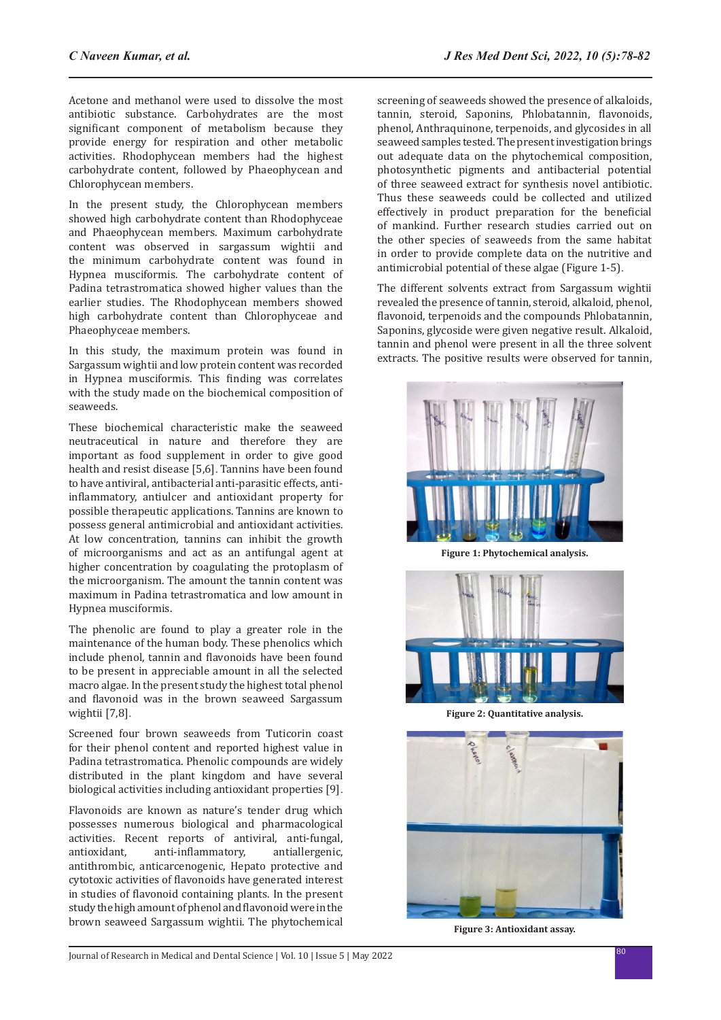Acetone and methanol were used to dissolve the most antibiotic substance. Carbohydrates are the most significant component of metabolism because they provide energy for respiration and other metabolic activities. Rhodophycean members had the highest carbohydrate content, followed by Phaeophycean and Chlorophycean members.

In the present study, the Chlorophycean members showed high carbohydrate content than Rhodophyceae and Phaeophycean members. Maximum carbohydrate content was observed in sargassum wightii and the minimum carbohydrate content was found in Hypnea musciformis. The carbohydrate content of Padina tetrastromatica showed higher values than the earlier studies. The Rhodophycean members showed high carbohydrate content than Chlorophyceae and Phaeophyceae members.

In this study, the maximum protein was found in Sargassum wightii and low protein content was recorded in Hypnea musciformis. This finding was correlates with the study made on the biochemical composition of seaweeds.

These biochemical characteristic make the seaweed neutraceutical in nature and therefore they are important as food supplement in order to give good health and resist disease [5,6]. Tannins have been found to have antiviral, antibacterial anti-parasitic effects, antiinflammatory, antiulcer and antioxidant property for possible therapeutic applications. Tannins are known to possess general antimicrobial and antioxidant activities. At low concentration, tannins can inhibit the growth of microorganisms and act as an antifungal agent at higher concentration by coagulating the protoplasm of the microorganism. The amount the tannin content was maximum in Padina tetrastromatica and low amount in Hypnea musciformis.

The phenolic are found to play a greater role in the maintenance of the human body. These phenolics which include phenol, tannin and flavonoids have been found to be present in appreciable amount in all the selected macro algae. In the present study the highest total phenol and flavonoid was in the brown seaweed Sargassum wightii [7,8].

Screened four brown seaweeds from Tuticorin coast for their phenol content and reported highest value in Padina tetrastromatica. Phenolic compounds are widely distributed in the plant kingdom and have several biological activities including antioxidant properties [9].

Flavonoids are known as nature's tender drug which possesses numerous biological and pharmacological activities. Recent reports of antiviral, anti-fungal, anti-inflammatory, antithrombic, anticarcenogenic, Hepato protective and cytotoxic activities of flavonoids have generated interest in studies of flavonoid containing plants. In the present study the high amount of phenol and flavonoid were in the brown seaweed Sargassum wightii. The phytochemical screening of seaweeds showed the presence of alkaloids, tannin, steroid, Saponins, Phlobatannin, flavonoids, phenol, Anthraquinone, terpenoids, and glycosides in all seaweed samples tested. The present investigation brings out adequate data on the phytochemical composition, photosynthetic pigments and antibacterial potential of three seaweed extract for synthesis novel antibiotic. Thus these seaweeds could be collected and utilized effectively in product preparation for the beneficial of mankind. Further research studies carried out on the other species of seaweeds from the same habitat in order to provide complete data on the nutritive and antimicrobial potential of these algae (Figure 1-5).

The different solvents extract from Sargassum wightii revealed the presence of tannin, steroid, alkaloid, phenol, flavonoid, terpenoids and the compounds Phlobatannin, Saponins, glycoside were given negative result. Alkaloid, tannin and phenol were present in all the three solvent extracts. The positive results were observed for tannin,



**Figure 1: Phytochemical analysis.**



**Figure 2: Quantitative analysis.**



**Figure 3: Antioxidant assay.**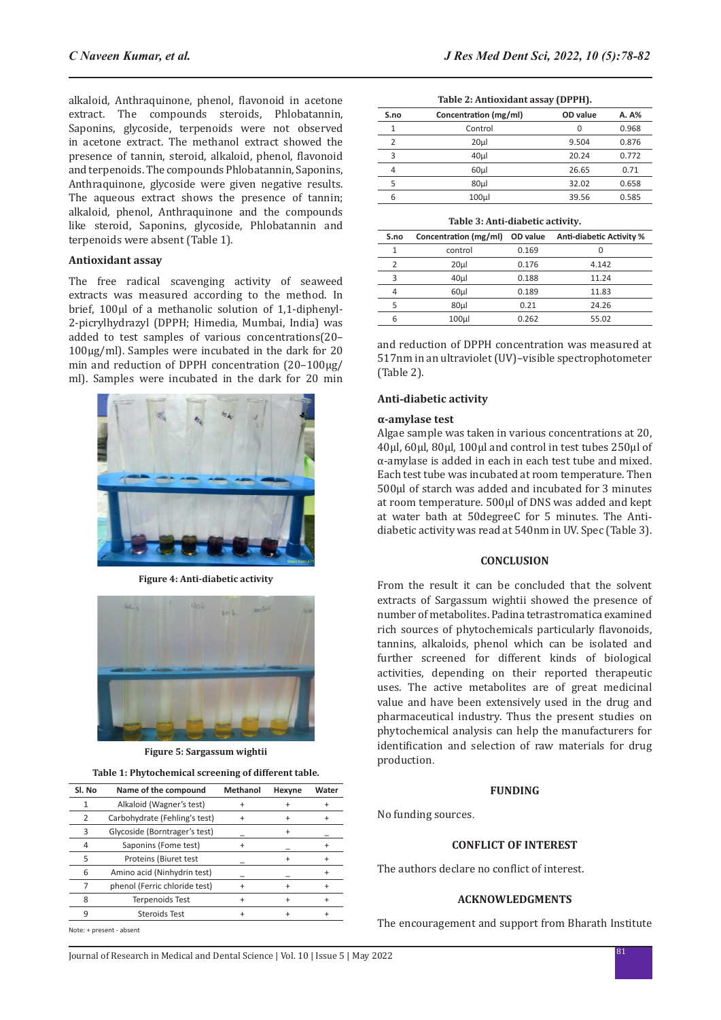alkaloid, Anthraquinone, phenol, flavonoid in acetone extract. The compounds steroids, Phlobatannin, Saponins, glycoside, terpenoids were not observed in acetone extract. The methanol extract showed the presence of tannin, steroid, alkaloid, phenol, flavonoid and terpenoids. The compounds Phlobatannin, Saponins, Anthraquinone, glycoside were given negative results. The aqueous extract shows the presence of tannin; alkaloid, phenol, Anthraquinone and the compounds like steroid, Saponins, glycoside, Phlobatannin and terpenoids were absent (Table 1).

#### **Antioxidant assay**

The free radical scavenging activity of seaweed extracts was measured according to the method. In brief, 100μl of a methanolic solution of 1,1-diphenyl-2-picrylhydrazyl (DPPH; Himedia, Mumbai, India) was added to test samples of various concentrations(20– 100μg/ml). Samples were incubated in the dark for 20 min and reduction of DPPH concentration (20–100μg/ ml). Samples were incubated in the dark for 20 min



**Figure 4: Anti-diabetic activity**



**Figure 5: Sargassum wightii**

| Table 1: Phytochemical screening of different table. |  |  |
|------------------------------------------------------|--|--|
|------------------------------------------------------|--|--|

| SI. No | Name of the compound          | Methanol | Hexyne    | Water |
|--------|-------------------------------|----------|-----------|-------|
| 1      | Alkaloid (Wagner's test)      |          |           |       |
| 2      | Carbohydrate (Fehling's test) |          | $\ddot{}$ |       |
| 3      | Glycoside (Borntrager's test) |          | $\ddot{}$ |       |
| 4      | Saponins (Fome test)          |          |           |       |
| 5      | Proteins (Biuret test         |          |           |       |
| 6      | Amino acid (Ninhydrin test)   |          |           |       |
|        | phenol (Ferric chloride test) |          |           |       |
| 8      | <b>Terpenoids Test</b>        | +        |           |       |
| 9      | Steroids Test                 | ÷        |           |       |
|        |                               |          |           |       |

**Table 2: Antioxidant assay (DPPH).**

| S.no | Concentration (mg/ml) | OD value | A. A% |
|------|-----------------------|----------|-------|
| 1    | Control               | 0        | 0.968 |
| 2    | 20 <sub>µ</sub>       | 9.504    | 0.876 |
| 3    | 40 <sub>µ</sub>       | 20.24    | 0.772 |
| 4    | 60 <sub>µ</sub>       | 26.65    | 0.71  |
| 5    | 80 <sub>µ</sub>       | 32.02    | 0.658 |
| 6    | 100 <sub>µ</sub>      | 39.56    | 0.585 |

#### **Table 3: Anti-diabetic activity.**

| S.no | Concentration (mg/ml) | OD value | Anti-diabetic Activity % |
|------|-----------------------|----------|--------------------------|
| 1    | control               | 0.169    | 0                        |
| 2    | 20 <sub>µ</sub>       | 0.176    | 4.142                    |
| 3    | 40 <sub>µ</sub>       | 0.188    | 11.24                    |
| 4    | 60 <sub>µ</sub>       | 0.189    | 11.83                    |
| 5    | 80 <sub>µ</sub>       | 0.21     | 24.26                    |
| 6    | 100 <sub>µ</sub>      | 0.262    | 55.02                    |

and reduction of DPPH concentration was measured at 517nm in an ultraviolet (UV)–visible spectrophotometer (Table 2).

#### **Anti-diabetic activity**

## **α-amylase test**

Algae sample was taken in various concentrations at 20, 40μl, 60μl, 80μl, 100μl and control in test tubes 250μl of α-amylase is added in each in each test tube and mixed. Each test tube was incubated at room temperature. Then 500μl of starch was added and incubated for 3 minutes at room temperature. 500μl of DNS was added and kept at water bath at 50degreeC for 5 minutes. The Antidiabetic activity was read at 540nm in UV. Spec (Table 3).

#### **CONCLUSION**

From the result it can be concluded that the solvent extracts of Sargassum wightii showed the presence of number of metabolites. Padina tetrastromatica examined rich sources of phytochemicals particularly flavonoids, tannins, alkaloids, phenol which can be isolated and further screened for different kinds of biological activities, depending on their reported therapeutic uses. The active metabolites are of great medicinal value and have been extensively used in the drug and pharmaceutical industry. Thus the present studies on phytochemical analysis can help the manufacturers for identification and selection of raw materials for drug production.

#### **FUNDING**

No funding sources.

## **CONFLICT OF INTEREST**

The authors declare no conflict of interest.

## **ACKNOWLEDGMENTS**

The encouragement and support from Bharath Institute

Note: + present - absent